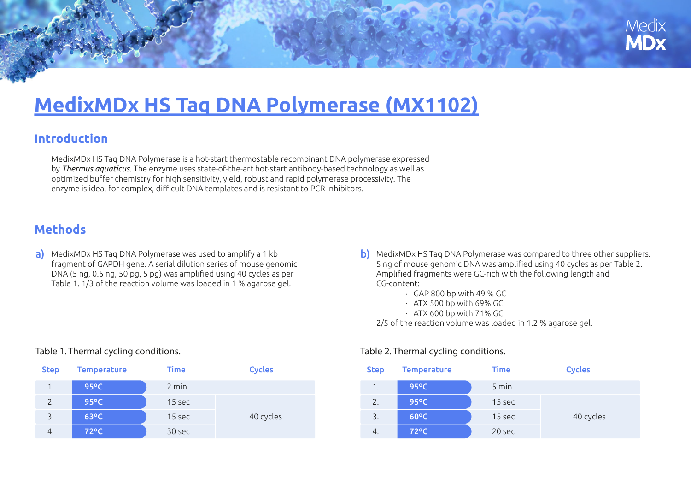

# **[MedixMDx HS Taq DNA Polymerase \(MX1102\)](https://www.medixbiochemica.com/en/medixmdx/medixmdx-products/)**

## **Introduction**

MedixMDx HS Taq DNA Polymerase is a hot-start thermostable recombinant DNA polymerase expressed by *Thermus aquaticus*. The enzyme uses state-of-the-art hot-start antibody-based technology as well as optimized bu ffer chemistry for high sensitivity, yield, robust and rapid polymerase processivity. The enzyme is ideal for complex, di fficult DNA templates and is resistant to PCR inhibitors.

# **Methods**

a) MedixMDx HS Taq DNA Polymerase was used to amplify a 1 kb fragment of GAPDH gene. A serial dilution series of mouse genomic DNA (5 ng, 0.5 ng, 50 pg, 5 pg) was ampli fied using 40 cycles as per Table 1. 1/3 of the reaction volume was loaded in 1 % agarose gel.

- b) MedixMDx HS Taq DNA Polymerase was compared to three other suppliers. 5 ng of mouse genomic DNA was ampli fied using 40 cycles as per Table 2. Ampli fied fragments were GC-rich with the following length and CG-content:
	- · GAP 800 bp with 49 % GC
	- · ATX 500 bp with 69% GC
	- · ATX 600 bp with 71% GC

2/5 of the reaction volume was loaded in 1.2 % agarose gel.

### Step Temperature Time Cycles 1. 95<sup>o</sup>C 2 min 95ºC2. **95°C** 15 sec 3. **63°C** 15 sec 4. 30 sec 72ºC

#### Table 1. Thermal cycling conditions.

#### Table 2. Thermal cycling conditions.

| <b>Cycles</b> | <b>Step</b> | <b>Temperature</b> | <b>Time</b> | <b>Cycles</b> |
|---------------|-------------|--------------------|-------------|---------------|
|               | 1.          | $95^{\circ}$ C     | $5$ min     |               |
|               | 2.          | $95^{\circ}$ C     | 15 sec      | 40 cycles     |
| 40 cycles     | 3.          | $60^{\circ}$ C     | 15 sec      |               |
|               | 4.          | $72^{\circ}$ C     | 20 sec      |               |